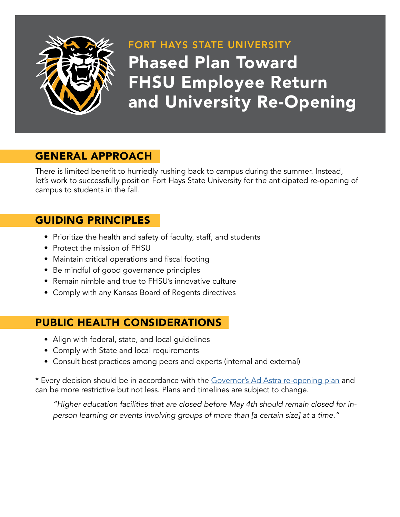

## FORT HAYS STATE UNIVERSITY Phased Plan Toward FHSU Employee Return and University Re-Opening

#### GENERAL APPROACH

There is limited benefit to hurriedly rushing back to campus during the summer. Instead, let's work to successfully position Fort Hays State University for the anticipated re-opening of campus to students in the fall.

#### GUIDING PRINCIPLES

- Prioritize the health and safety of faculty, staff, and students
- Protect the mission of FHSU
- Maintain critical operations and fiscal footing
- Be mindful of good governance principles
- Remain nimble and true to FHSU's innovative culture
- Comply with any Kansas Board of Regents directives

#### PUBLIC HEALTH CONSIDERATIONS

- Align with federal, state, and local guidelines
- Comply with State and local requirements
- Consult best practices among peers and experts (internal and external)

\* Every decision should be in accordance with the [Governor's Ad Astra re-opening plan](https://covid.ks.gov/wp-content/uploads/2020/05/Reopen-Kansas-Framework-v6.2-5.19.20.pdf) and can be more restrictive but not less. Plans and timelines are subject to change.

*"Higher education facilities that are closed before May 4th should remain closed for inperson learning or events involving groups of more than [a certain size] at a time."*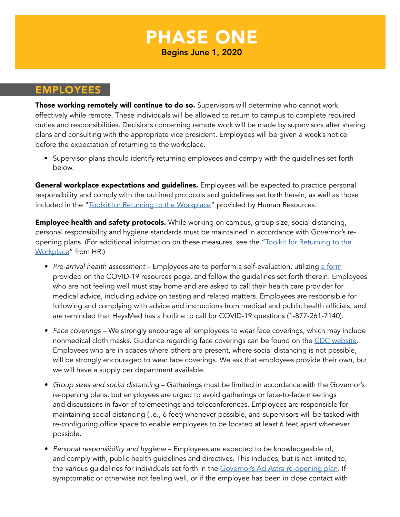# PHASE ONE

Begins June 1, 2020

#### EMPLOYEES

Those working remotely will continue to do so. Supervisors will determine who cannot work effectively while remote. These individuals will be allowed to return to campus to complete required duties and responsibilities. Decisions concerning remote work will be made by supervisors after sharing plans and consulting with the appropriate vice president. Employees will be given a week's notice before the expectation of returning to the workplace.

• Supervisor plans should identify returning employees and comply with the guidelines set forth below.

General workplace expectations and guidelines. Employees will be expected to practice personal responsibility and comply with the outlined protocols and guidelines set forth herein, as well as those included in the "[Toolkit for Returning to the Workplace](https://www.fhsu.edu/humanresourceoffice/Resources/return-to-the-workplace-toolkit2020-0521)" provided by Human Resources.

**Employee health and safety protocols.** While working on campus, group size, social distancing, personal responsibility and hygiene standards must be maintained in accordance with Governor's reopening plans. (For additional information on these measures, see the "Toolkit for Returning to the [Workplace](https://www.fhsu.edu/humanresourceoffice/Resources/return-to-the-workplace-toolkit2020-0521)" from HR.)

- *• Pre-arrival health assessment* Employees are to perform a self-evaluation, utilizing [a form](https://www.fhsu.edu/humanresourceoffice/Resources/personal-wellness-check) provided on the COVID-19 resources page, and follow the guidelines set forth therein. Employees who are not feeling well must stay home and are asked to call their health care provider for medical advice, including advice on testing and related matters. Employees are responsible for following and complying with advice and instructions from medical and public health officials, and are reminded that HaysMed has a hotline to call for COVID-19 questions (1-877-261-7140).
- *• Face coverings* We strongly encourage all employees to wear face coverings, which may include nonmedical cloth masks. Guidance regarding face coverings can be found on the [CDC website](https://www.cdc.gov/coronavirus/2019-ncov/prevent-getting-sick/cloth-face-cover.html). Employees who are in spaces where others are present, where social distancing is not possible, will be strongly encouraged to wear face coverings. We ask that employees provide their own, but we will have a supply per department available.
- *• Group sizes and social distancing* Gatherings must be limited in accordance with the Governor's re-opening plans, but employees are urged to avoid gatherings or face-to-face meetings and discussions in favor of telemeetings and teleconferences. Employees are responsible for maintaining social distancing (i.e., 6 feet) whenever possible, and supervisors will be tasked with re-configuring office space to enable employees to be located at least 6 feet apart whenever possible.
- *• Personal responsibility and hygiene*  Employees are expected to be knowledgeable of, and comply with, public health guidelines and directives. This includes, but is not limited to, the various guidelines for individuals set forth in the [Governor's Ad Astra re-opening plan](https://covid.ks.gov/wp-content/uploads/2020/05/Reopen-Kansas-Framework-v6.2-5.19.20.pdf). If symptomatic or otherwise not feeling well, or if the employee has been in close contact with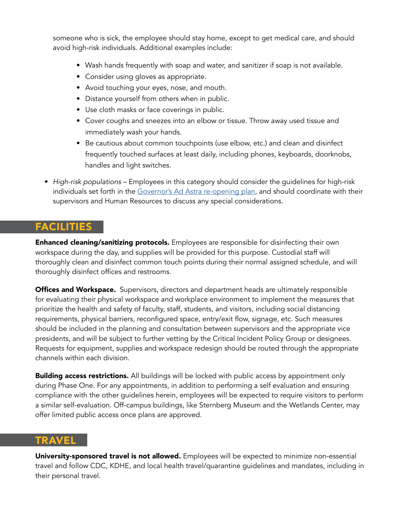someone who is sick, the employee should stay home, except to get medical care, and should avoid high-risk individuals. Additional examples include:

- Wash hands frequently with soap and water, and sanitizer if soap is not available.
- Consider using gloves as appropriate.
- Avoid touching your eyes, nose, and mouth.
- Distance yourself from others when in public.
- Use cloth masks or face coverings in public.
- Cover coughs and sneezes into an elbow or tissue. Throw away used tissue and immediately wash your hands.
- Be cautious about common touchpoints (use elbow, etc.) and clean and disinfect frequently touched surfaces at least daily, including phones, keyboards, doorknobs, handles and light switches.
- *• High-risk populations* Employees in this category should consider the guidelines for high-risk individuals set forth in the [Governor's Ad Astra re-opening plan,](https://covid.ks.gov/wp-content/uploads/2020/05/Reopen-Kansas-Framework-v6.2-5.19.20.pdf) and should coordinate with their supervisors and Human Resources to discuss any special considerations.

#### FACILITIES

Enhanced cleaning/sanitizing protocols. Employees are responsible for disinfecting their own workspace during the day, and supplies will be provided for this purpose. Custodial staff will thoroughly clean and disinfect common touch points during their normal assigned schedule, and will thoroughly disinfect offices and restrooms.

**Offices and Workspace.** Supervisors, directors and department heads are ultimately responsible for evaluating their physical workspace and workplace environment to implement the measures that prioritize the health and safety of faculty, staff, students, and visitors, including social distancing requirements, physical barriers, reconfigured space, entry/exit flow, signage, etc. Such measures should be included in the planning and consultation between supervisors and the appropriate vice presidents, and will be subject to further vetting by the Critical Incident Policy Group or designees. Requests for equipment, supplies and workspace redesign should be routed through the appropriate channels within each division.

**Building access restrictions.** All buildings will be locked with public access by appointment only during Phase One. For any appointments, in addition to performing a self evaluation and ensuring compliance with the other guidelines herein, employees will be expected to require visitors to perform a similar self-evaluation. Off-campus buildings, like Sternberg Museum and the Wetlands Center, may offer limited public access once plans are approved.

#### TRAVEL

University-sponsored travel is not allowed. Employees will be expected to minimize non-essential travel and follow CDC, KDHE, and local health travel/quarantine guidelines and mandates, including in their personal travel.